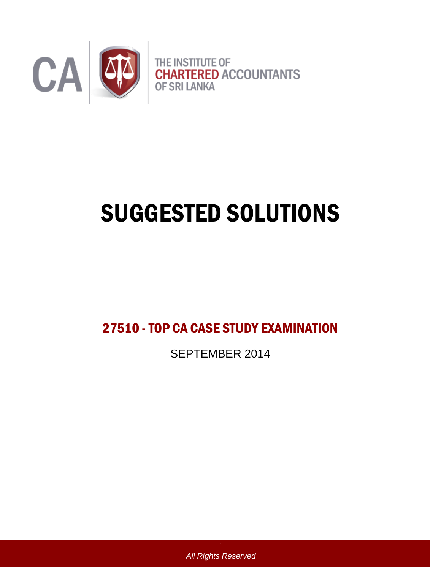

# SUGGESTED SOLUTIONS

27510 -TOP CA CASE STUDY EXAMINATION

SEPTEMBER 2014

*All Rights Reserved*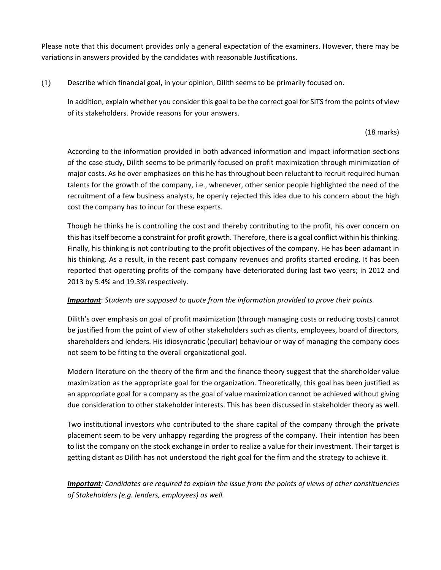Please note that this document provides only a general expectation of the examiners. However, there may be variations in answers provided by the candidates with reasonable Justifications.

(1) Describe which financial goal, in your opinion, Dilith seems to be primarily focused on.

In addition, explain whether you consider this goal to be the correct goal for SITS from the points of view of its stakeholders. Provide reasons for your answers.

(18 marks)

According to the information provided in both advanced information and impact information sections of the case study, Dilith seems to be primarily focused on profit maximization through minimization of major costs. As he over emphasizes on this he has throughout been reluctant to recruit required human talents for the growth of the company, i.e., whenever, other senior people highlighted the need of the recruitment of a few business analysts, he openly rejected this idea due to his concern about the high cost the company has to incur for these experts.

Though he thinks he is controlling the cost and thereby contributing to the profit, his over concern on this has itself become a constraint for profit growth. Therefore, there is a goal conflict within his thinking. Finally, his thinking is not contributing to the profit objectives of the company. He has been adamant in his thinking. As a result, in the recent past company revenues and profits started eroding. It has been reported that operating profits of the company have deteriorated during last two years; in 2012 and 2013 by 5.4% and 19.3% respectively.

## *Important*: *Students are supposed to quote from the information provided to prove their points.*

Dilith's over emphasis on goal of profit maximization (through managing costs or reducing costs) cannot be justified from the point of view of other stakeholders such as clients, employees, board of directors, shareholders and lenders. His idiosyncratic (peculiar) behaviour or way of managing the company does not seem to be fitting to the overall organizational goal.

Modern literature on the theory of the firm and the finance theory suggest that the shareholder value maximization as the appropriate goal for the organization. Theoretically, this goal has been justified as an appropriate goal for a company as the goal of value maximization cannot be achieved without giving due consideration to other stakeholder interests. This has been discussed in stakeholder theory as well.

Two institutional investors who contributed to the share capital of the company through the private placement seem to be very unhappy regarding the progress of the company. Their intention has been to list the company on the stock exchange in order to realize a value for their investment. Their target is getting distant as Dilith has not understood the right goal for the firm and the strategy to achieve it.

*Important: Candidates are required to explain the issue from the points of views of other constituencies of Stakeholders (e.g. lenders, employees) as well.*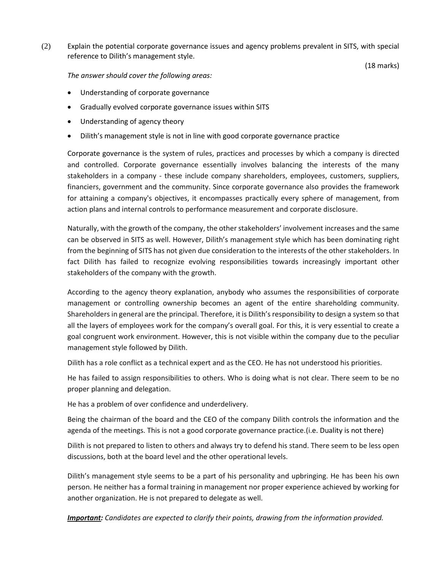(2) Explain the potential corporate governance issues and agency problems prevalent in SITS, with special reference to Dilith's management style.

(18 marks)

*The answer should cover the following areas:* 

- Understanding of corporate governance
- Gradually evolved corporate governance issues within SITS
- Understanding of agency theory
- Dilith's management style is not in line with good corporate governance practice

Corporate governance is the system of rules, practices and processes by which a company is directed and controlled. Corporate governance essentially involves balancing the interests of the many stakeholders in a company - these include company shareholders, employees, customers, suppliers, financiers, government and the community. Since corporate governance also provides the framework for attaining a company's objectives, it encompasses practically every sphere of management, from action plans and internal controls to performance measurement and corporate disclosure.

Naturally, with the growth of the company, the other stakeholders' involvement increases and the same can be observed in SITS as well. However, Dilith's management style which has been dominating right from the beginning of SITS has not given due consideration to the interests of the other stakeholders. In fact Dilith has failed to recognize evolving responsibilities towards increasingly important other stakeholders of the company with the growth.

According to the agency theory explanation, anybody who assumes the responsibilities of corporate management or controlling ownership becomes an agent of the entire shareholding community. Shareholders in general are the principal. Therefore, it is Dilith's responsibility to design a system so that all the layers of employees work for the company's overall goal. For this, it is very essential to create a goal congruent work environment. However, this is not visible within the company due to the peculiar management style followed by Dilith.

Dilith has a role conflict as a technical expert and as the CEO. He has not understood his priorities.

He has failed to assign responsibilities to others. Who is doing what is not clear. There seem to be no proper planning and delegation.

He has a problem of over confidence and underdelivery.

Being the chairman of the board and the CEO of the company Dilith controls the information and the agenda of the meetings. This is not a good corporate governance practice.(i.e. Duality is not there)

Dilith is not prepared to listen to others and always try to defend his stand. There seem to be less open discussions, both at the board level and the other operational levels.

Dilith's management style seems to be a part of his personality and upbringing. He has been his own person. He neither has a formal training in management nor proper experience achieved by working for another organization. He is not prepared to delegate as well.

*Important: Candidates are expected to clarify their points, drawing from the information provided.*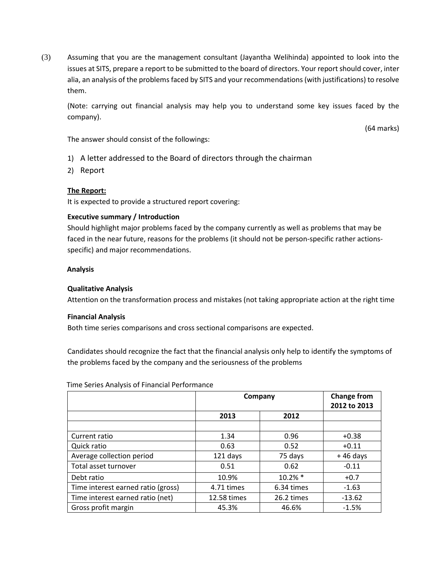(3) Assuming that you are the management consultant (Jayantha Welihinda) appointed to look into the issues at SITS, prepare a report to be submitted to the board of directors. Your report should cover, inter alia, an analysis of the problems faced by SITS and your recommendations (with justifications) to resolve them.

(Note: carrying out financial analysis may help you to understand some key issues faced by the company).

(64 marks)

The answer should consist of the followings:

- 1) A letter addressed to the Board of directors through the chairman
- 2) Report

## **The Report:**

It is expected to provide a structured report covering:

## **Executive summary / Introduction**

Should highlight major problems faced by the company currently as well as problems that may be faced in the near future, reasons for the problems (it should not be person-specific rather actionsspecific) and major recommendations.

### **Analysis**

### **Qualitative Analysis**

Attention on the transformation process and mistakes (not taking appropriate action at the right time

### **Financial Analysis**

Both time series comparisons and cross sectional comparisons are expected.

Candidates should recognize the fact that the financial analysis only help to identify the symptoms of the problems faced by the company and the seriousness of the problems

#### Time Series Analysis of Financial Performance

|                                    | Company     |            | <b>Change from</b><br>2012 to 2013 |
|------------------------------------|-------------|------------|------------------------------------|
|                                    | 2013        | 2012       |                                    |
|                                    |             |            |                                    |
| Current ratio                      | 1.34        | 0.96       | $+0.38$                            |
| Quick ratio                        | 0.63        | 0.52       | $+0.11$                            |
| Average collection period          | 121 days    | 75 days    | $+46$ days                         |
| Total asset turnover               | 0.51        | 0.62       | $-0.11$                            |
| Debt ratio                         | 10.9%       | $10.2\%$ * | $+0.7$                             |
| Time interest earned ratio (gross) | 4.71 times  | 6.34 times | $-1.63$                            |
| Time interest earned ratio (net)   | 12.58 times | 26.2 times | $-13.62$                           |
| Gross profit margin                | 45.3%       | 46.6%      | $-1.5%$                            |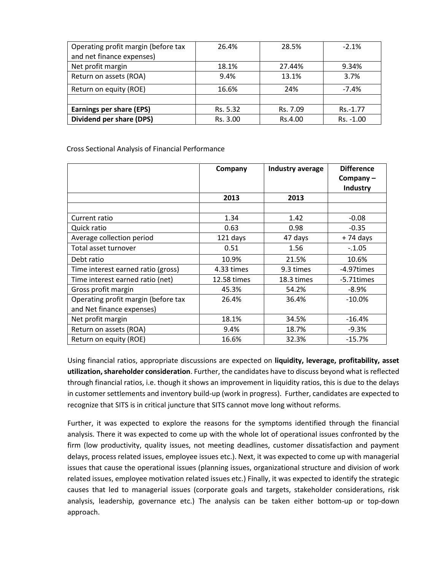| Operating profit margin (before tax | 26.4%    | 28.5%    | $-2.1%$   |
|-------------------------------------|----------|----------|-----------|
| and net finance expenses)           |          |          |           |
| Net profit margin                   | 18.1%    | 27.44%   | 9.34%     |
| Return on assets (ROA)              | 9.4%     | 13.1%    | 3.7%      |
| Return on equity (ROE)              | 16.6%    | 24%      | $-7.4%$   |
|                                     |          |          |           |
| <b>Earnings per share (EPS)</b>     | Rs. 5.32 | Rs. 7.09 | Rs.-1.77  |
| Dividend per share (DPS)            | Rs. 3.00 | Rs.4.00  | Rs. -1.00 |

Cross Sectional Analysis of Financial Performance

|                                     | Company     | Industry average | <b>Difference</b><br>Company $-$<br><b>Industry</b> |
|-------------------------------------|-------------|------------------|-----------------------------------------------------|
|                                     | 2013        | 2013             |                                                     |
|                                     |             |                  |                                                     |
| Current ratio                       | 1.34        | 1.42             | $-0.08$                                             |
| Quick ratio                         | 0.63        | 0.98             | $-0.35$                                             |
| Average collection period           | 121 days    | 47 days          | +74 days                                            |
| Total asset turnover                | 0.51        | 1.56             | $-.1.05$                                            |
| Debt ratio                          | 10.9%       | 21.5%            | 10.6%                                               |
| Time interest earned ratio (gross)  | 4.33 times  | 9.3 times        | -4.97times                                          |
| Time interest earned ratio (net)    | 12.58 times | 18.3 times       | -5.71times                                          |
| Gross profit margin                 | 45.3%       | 54.2%            | $-8.9\%$                                            |
| Operating profit margin (before tax | 26.4%       | 36.4%            | $-10.0\%$                                           |
| and Net finance expenses)           |             |                  |                                                     |
| Net profit margin                   | 18.1%       | 34.5%            | $-16.4%$                                            |
| Return on assets (ROA)              | 9.4%        | 18.7%            | $-9.3%$                                             |
| Return on equity (ROE)              | 16.6%       | 32.3%            | $-15.7%$                                            |

Using financial ratios, appropriate discussions are expected on **liquidity, leverage, profitability, asset utilization, shareholder consideration**. Further, the candidates have to discuss beyond what is reflected through financial ratios, i.e. though it shows an improvement in liquidity ratios, this is due to the delays in customer settlements and inventory build-up (work in progress). Further, candidates are expected to recognize that SITS is in critical juncture that SITS cannot move long without reforms.

Further, it was expected to explore the reasons for the symptoms identified through the financial analysis. There it was expected to come up with the whole lot of operational issues confronted by the firm (low productivity, quality issues, not meeting deadlines, customer dissatisfaction and payment delays, process related issues, employee issues etc.). Next, it was expected to come up with managerial issues that cause the operational issues (planning issues, organizational structure and division of work related issues, employee motivation related issues etc.) Finally, it was expected to identify the strategic causes that led to managerial issues (corporate goals and targets, stakeholder considerations, risk analysis, leadership, governance etc.) The analysis can be taken either bottom-up or top-down approach.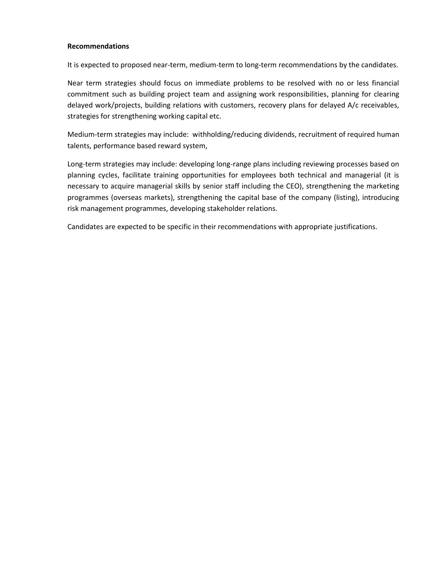#### **Recommendations**

It is expected to proposed near-term, medium-term to long-term recommendations by the candidates.

Near term strategies should focus on immediate problems to be resolved with no or less financial commitment such as building project team and assigning work responsibilities, planning for clearing delayed work/projects, building relations with customers, recovery plans for delayed A/c receivables, strategies for strengthening working capital etc.

Medium-term strategies may include: withholding/reducing dividends, recruitment of required human talents, performance based reward system,

Long-term strategies may include: developing long-range plans including reviewing processes based on planning cycles, facilitate training opportunities for employees both technical and managerial (it is necessary to acquire managerial skills by senior staff including the CEO), strengthening the marketing programmes (overseas markets), strengthening the capital base of the company (listing), introducing risk management programmes, developing stakeholder relations.

Candidates are expected to be specific in their recommendations with appropriate justifications.